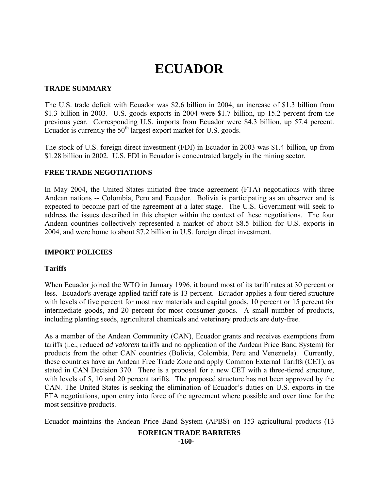# **ECUADOR**

## **TRADE SUMMARY**

The U.S. trade deficit with Ecuador was \$2.6 billion in 2004, an increase of \$1.3 billion from \$1.3 billion in 2003. U.S. goods exports in 2004 were \$1.7 billion, up 15.2 percent from the previous year. Corresponding U.S. imports from Ecuador were \$4.3 billion, up 57.4 percent. Ecuador is currently the  $50<sup>th</sup>$  largest export market for U.S. goods.

The stock of U.S. foreign direct investment (FDI) in Ecuador in 2003 was \$1.4 billion, up from \$1.28 billion in 2002. U.S. FDI in Ecuador is concentrated largely in the mining sector.

## **FREE TRADE NEGOTIATIONS**

In May 2004, the United States initiated free trade agreement (FTA) negotiations with three Andean nations -- Colombia, Peru and Ecuador. Bolivia is participating as an observer and is expected to become part of the agreement at a later stage. The U.S. Government will seek to address the issues described in this chapter within the context of these negotiations. The four Andean countries collectively represented a market of about \$8.5 billion for U.S. exports in 2004, and were home to about \$7.2 billion in U.S. foreign direct investment.

## **IMPORT POLICIES**

## **Tariffs**

When Ecuador joined the WTO in January 1996, it bound most of its tariff rates at 30 percent or less. Ecuador's average applied tariff rate is 13 percent. Ecuador applies a four-tiered structure with levels of five percent for most raw materials and capital goods, 10 percent or 15 percent for intermediate goods, and 20 percent for most consumer goods. A small number of products, including planting seeds, agricultural chemicals and veterinary products are duty-free.

As a member of the Andean Community (CAN), Ecuador grants and receives exemptions from tariffs (i.e., reduced *ad valorem* tariffs and no application of the Andean Price Band System) for products from the other CAN countries (Bolivia, Colombia, Peru and Venezuela). Currently, these countries have an Andean Free Trade Zone and apply Common External Tariffs (CET), as stated in CAN Decision 370. There is a proposal for a new CET with a three-tiered structure, with levels of 5, 10 and 20 percent tariffs. The proposed structure has not been approved by the CAN. The United States is seeking the elimination of Ecuador's duties on U.S. exports in the FTA negotiations, upon entry into force of the agreement where possible and over time for the most sensitive products.

Ecuador maintains the Andean Price Band System (APBS) on 153 agricultural products (13

#### **FOREIGN TRADE BARRIERS -160-**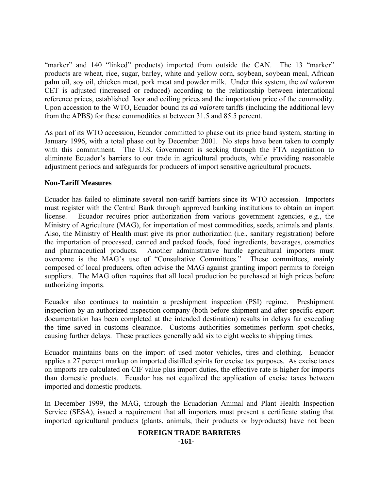"marker" and 140 "linked" products) imported from outside the CAN. The 13 "marker" products are wheat, rice, sugar, barley, white and yellow corn, soybean, soybean meal, African palm oil, soy oil, chicken meat, pork meat and powder milk. Under this system, the *ad valorem* CET is adjusted (increased or reduced) according to the relationship between international reference prices, established floor and ceiling prices and the importation price of the commodity. Upon accession to the WTO, Ecuador bound its *ad valorem* tariffs (including the additional levy from the APBS) for these commodities at between 31.5 and 85.5 percent.

As part of its WTO accession, Ecuador committed to phase out its price band system, starting in January 1996, with a total phase out by December 2001. No steps have been taken to comply with this commitment. The U.S. Government is seeking through the FTA negotiation to eliminate Ecuador's barriers to our trade in agricultural products, while providing reasonable adjustment periods and safeguards for producers of import sensitive agricultural products.

## **Non-Tariff Measures**

Ecuador has failed to eliminate several non-tariff barriers since its WTO accession. Importers must register with the Central Bank through approved banking institutions to obtain an import license. Ecuador requires prior authorization from various government agencies, e.g., the Ministry of Agriculture (MAG), for importation of most commodities, seeds, animals and plants. Also, the Ministry of Health must give its prior authorization (i.e., sanitary registration) before the importation of processed, canned and packed foods, food ingredients, beverages, cosmetics and pharmaceutical products. Another administrative hurdle agricultural importers must overcome is the MAG's use of "Consultative Committees." These committees, mainly composed of local producers, often advise the MAG against granting import permits to foreign suppliers. The MAG often requires that all local production be purchased at high prices before authorizing imports.

Ecuador also continues to maintain a preshipment inspection (PSI) regime. Preshipment inspection by an authorized inspection company (both before shipment and after specific export documentation has been completed at the intended destination) results in delays far exceeding the time saved in customs clearance. Customs authorities sometimes perform spot-checks, causing further delays. These practices generally add six to eight weeks to shipping times.

Ecuador maintains bans on the import of used motor vehicles, tires and clothing. Ecuador applies a 27 percent markup on imported distilled spirits for excise tax purposes. As excise taxes on imports are calculated on CIF value plus import duties, the effective rate is higher for imports than domestic products. Ecuador has not equalized the application of excise taxes between imported and domestic products.

In December 1999, the MAG, through the Ecuadorian Animal and Plant Health Inspection Service (SESA), issued a requirement that all importers must present a certificate stating that imported agricultural products (plants, animals, their products or byproducts) have not been

#### **FOREIGN TRADE BARRIERS -161-**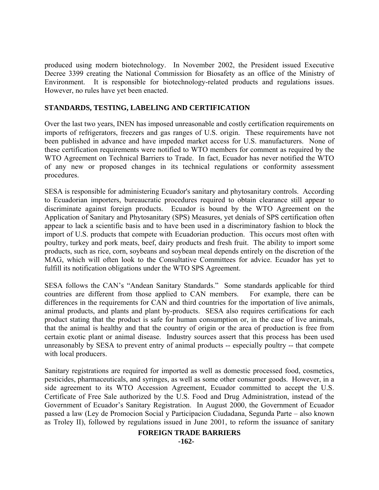produced using modern biotechnology. In November 2002, the President issued Executive Decree 3399 creating the National Commission for Biosafety as an office of the Ministry of Environment. It is responsible for biotechnology-related products and regulations issues. However, no rules have yet been enacted.

## **STANDARDS, TESTING, LABELING AND CERTIFICATION**

Over the last two years, INEN has imposed unreasonable and costly certification requirements on imports of refrigerators, freezers and gas ranges of U.S. origin. These requirements have not been published in advance and have impeded market access for U.S. manufacturers. None of these certification requirements were notified to WTO members for comment as required by the WTO Agreement on Technical Barriers to Trade. In fact, Ecuador has never notified the WTO of any new or proposed changes in its technical regulations or conformity assessment procedures.

SESA is responsible for administering Ecuador's sanitary and phytosanitary controls. According to Ecuadorian importers, bureaucratic procedures required to obtain clearance still appear to discriminate against foreign products. Ecuador is bound by the WTO Agreement on the Application of Sanitary and Phytosanitary (SPS) Measures, yet denials of SPS certification often appear to lack a scientific basis and to have been used in a discriminatory fashion to block the import of U.S. products that compete with Ecuadorian production. This occurs most often with poultry, turkey and pork meats, beef, dairy products and fresh fruit. The ability to import some products, such as rice, corn, soybeans and soybean meal depends entirely on the discretion of the MAG, which will often look to the Consultative Committees for advice. Ecuador has yet to fulfill its notification obligations under the WTO SPS Agreement.

SESA follows the CAN's "Andean Sanitary Standards." Some standards applicable for third countries are different from those applied to CAN members. For example, there can be differences in the requirements for CAN and third countries for the importation of live animals, animal products, and plants and plant by-products. SESA also requires certifications for each product stating that the product is safe for human consumption or, in the case of live animals, that the animal is healthy and that the country of origin or the area of production is free from certain exotic plant or animal disease. Industry sources assert that this process has been used unreasonably by SESA to prevent entry of animal products -- especially poultry -- that compete with local producers.

Sanitary registrations are required for imported as well as domestic processed food, cosmetics, pesticides, pharmaceuticals, and syringes, as well as some other consumer goods. However, in a side agreement to its WTO Accession Agreement, Ecuador committed to accept the U.S. Certificate of Free Sale authorized by the U.S. Food and Drug Administration, instead of the Government of Ecuador's Sanitary Registration. In August 2000, the Government of Ecuador passed a law (Ley de Promocion Social y Participacion Ciudadana, Segunda Parte – also known as Troley II), followed by regulations issued in June 2001, to reform the issuance of sanitary

## **FOREIGN TRADE BARRIERS**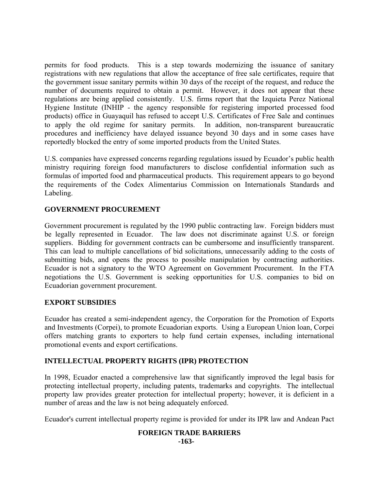permits for food products. This is a step towards modernizing the issuance of sanitary registrations with new regulations that allow the acceptance of free sale certificates, require that the government issue sanitary permits within 30 days of the receipt of the request, and reduce the number of documents required to obtain a permit. However, it does not appear that these regulations are being applied consistently. U.S. firms report that the Izquieta Perez National Hygiene Institute (INHIP - the agency responsible for registering imported processed food products) office in Guayaquil has refused to accept U.S. Certificates of Free Sale and continues to apply the old regime for sanitary permits. In addition, non-transparent bureaucratic procedures and inefficiency have delayed issuance beyond 30 days and in some cases have reportedly blocked the entry of some imported products from the United States.

U.S. companies have expressed concerns regarding regulations issued by Ecuador's public health ministry requiring foreign food manufacturers to disclose confidential information such as formulas of imported food and pharmaceutical products. This requirement appears to go beyond the requirements of the Codex Alimentarius Commission on Internationals Standards and Labeling.

## **GOVERNMENT PROCUREMENT**

Government procurement is regulated by the 1990 public contracting law. Foreign bidders must be legally represented in Ecuador. The law does not discriminate against U.S. or foreign suppliers. Bidding for government contracts can be cumbersome and insufficiently transparent. This can lead to multiple cancellations of bid solicitations, unnecessarily adding to the costs of submitting bids, and opens the process to possible manipulation by contracting authorities. Ecuador is not a signatory to the WTO Agreement on Government Procurement. In the FTA negotiations the U.S. Government is seeking opportunities for U.S. companies to bid on Ecuadorian government procurement.

## **EXPORT SUBSIDIES**

Ecuador has created a semi-independent agency, the Corporation for the Promotion of Exports and Investments (Corpei), to promote Ecuadorian exports. Using a European Union loan, Corpei offers matching grants to exporters to help fund certain expenses, including international promotional events and export certifications.

# **INTELLECTUAL PROPERTY RIGHTS (IPR) PROTECTION**

In 1998, Ecuador enacted a comprehensive law that significantly improved the legal basis for protecting intellectual property, including patents, trademarks and copyrights. The intellectual property law provides greater protection for intellectual property; however, it is deficient in a number of areas and the law is not being adequately enforced.

Ecuador's current intellectual property regime is provided for under its IPR law and Andean Pact

## **FOREIGN TRADE BARRIERS -163-**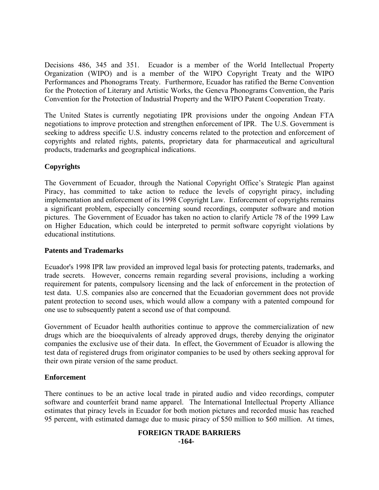Decisions 486, 345 and 351. Ecuador is a member of the World Intellectual Property Organization (WIPO) and is a member of the WIPO Copyright Treaty and the WIPO Performances and Phonograms Treaty. Furthermore, Ecuador has ratified the Berne Convention for the Protection of Literary and Artistic Works, the Geneva Phonograms Convention, the Paris Convention for the Protection of Industrial Property and the WIPO Patent Cooperation Treaty.

The United States is currently negotiating IPR provisions under the ongoing Andean FTA negotiations to improve protection and strengthen enforcement of IPR. The U.S. Government is seeking to address specific U.S. industry concerns related to the protection and enforcement of copyrights and related rights, patents, proprietary data for pharmaceutical and agricultural products, trademarks and geographical indications.

## **Copyrights**

The Government of Ecuador, through the National Copyright Office's Strategic Plan against Piracy, has committed to take action to reduce the levels of copyright piracy, including implementation and enforcement of its 1998 Copyright Law. Enforcement of copyrights remains a significant problem, especially concerning sound recordings, computer software and motion pictures. The Government of Ecuador has taken no action to clarify Article 78 of the 1999 Law on Higher Education, which could be interpreted to permit software copyright violations by educational institutions.

## **Patents and Trademarks**

Ecuador's 1998 IPR law provided an improved legal basis for protecting patents, trademarks, and trade secrets. However, concerns remain regarding several provisions, including a working requirement for patents, compulsory licensing and the lack of enforcement in the protection of test data. U.S. companies also are concerned that the Ecuadorian government does not provide patent protection to second uses, which would allow a company with a patented compound for one use to subsequently patent a second use of that compound.

Government of Ecuador health authorities continue to approve the commercialization of new drugs which are the bioequivalents of already approved drugs, thereby denying the originator companies the exclusive use of their data. In effect, the Government of Ecuador is allowing the test data of registered drugs from originator companies to be used by others seeking approval for their own pirate version of the same product.

## **Enforcement**

There continues to be an active local trade in pirated audio and video recordings, computer software and counterfeit brand name apparel. The International Intellectual Property Alliance estimates that piracy levels in Ecuador for both motion pictures and recorded music has reached 95 percent, with estimated damage due to music piracy of \$50 million to \$60 million. At times,

#### **FOREIGN TRADE BARRIERS -164-**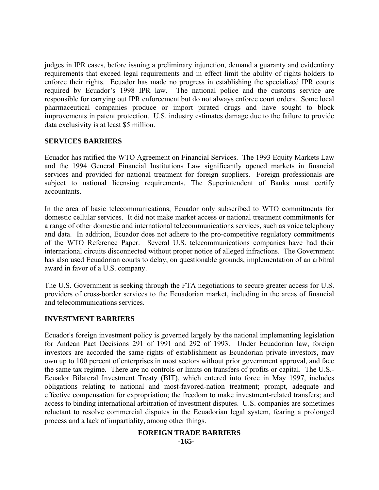judges in IPR cases, before issuing a preliminary injunction, demand a guaranty and evidentiary requirements that exceed legal requirements and in effect limit the ability of rights holders to enforce their rights. Ecuador has made no progress in establishing the specialized IPR courts required by Ecuador's 1998 IPR law. The national police and the customs service are responsible for carrying out IPR enforcement but do not always enforce court orders. Some local pharmaceutical companies produce or import pirated drugs and have sought to block improvements in patent protection. U.S. industry estimates damage due to the failure to provide data exclusivity is at least \$5 million.

## **SERVICES BARRIERS**

Ecuador has ratified the WTO Agreement on Financial Services. The 1993 Equity Markets Law and the 1994 General Financial Institutions Law significantly opened markets in financial services and provided for national treatment for foreign suppliers. Foreign professionals are subject to national licensing requirements. The Superintendent of Banks must certify accountants.

In the area of basic telecommunications, Ecuador only subscribed to WTO commitments for domestic cellular services. It did not make market access or national treatment commitments for a range of other domestic and international telecommunications services, such as voice telephony and data. In addition, Ecuador does not adhere to the pro-competitive regulatory commitments of the WTO Reference Paper. Several U.S. telecommunications companies have had their international circuits disconnected without proper notice of alleged infractions. The Government has also used Ecuadorian courts to delay, on questionable grounds, implementation of an arbitral award in favor of a U.S. company.

The U.S. Government is seeking through the FTA negotiations to secure greater access for U.S. providers of cross-border services to the Ecuadorian market, including in the areas of financial and telecommunications services.

## **INVESTMENT BARRIERS**

Ecuador's foreign investment policy is governed largely by the national implementing legislation for Andean Pact Decisions 291 of 1991 and 292 of 1993. Under Ecuadorian law, foreign investors are accorded the same rights of establishment as Ecuadorian private investors, may own up to 100 percent of enterprises in most sectors without prior government approval, and face the same tax regime. There are no controls or limits on transfers of profits or capital. The U.S.- Ecuador Bilateral Investment Treaty (BIT), which entered into force in May 1997, includes obligations relating to national and most-favored-nation treatment; prompt, adequate and effective compensation for expropriation; the freedom to make investment-related transfers; and access to binding international arbitration of investment disputes. U.S. companies are sometimes reluctant to resolve commercial disputes in the Ecuadorian legal system, fearing a prolonged process and a lack of impartiality, among other things.

#### **FOREIGN TRADE BARRIERS -165-**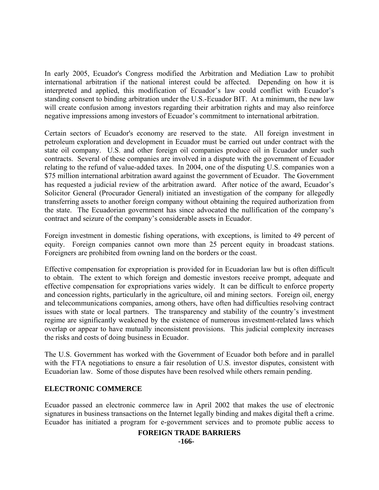In early 2005, Ecuador's Congress modified the Arbitration and Mediation Law to prohibit international arbitration if the national interest could be affected. Depending on how it is interpreted and applied, this modification of Ecuador's law could conflict with Ecuador's standing consent to binding arbitration under the U.S.-Ecuador BIT. At a minimum, the new law will create confusion among investors regarding their arbitration rights and may also reinforce negative impressions among investors of Ecuador's commitment to international arbitration.

Certain sectors of Ecuador's economy are reserved to the state. All foreign investment in petroleum exploration and development in Ecuador must be carried out under contract with the state oil company. U.S. and other foreign oil companies produce oil in Ecuador under such contracts. Several of these companies are involved in a dispute with the government of Ecuador relating to the refund of value-added taxes. In 2004, one of the disputing U.S. companies won a \$75 million international arbitration award against the government of Ecuador. The Government has requested a judicial review of the arbitration award. After notice of the award, Ecuador's Solicitor General (Procurador General) initiated an investigation of the company for allegedly transferring assets to another foreign company without obtaining the required authorization from the state. The Ecuadorian government has since advocated the nullification of the company's contract and seizure of the company's considerable assets in Ecuador.

Foreign investment in domestic fishing operations, with exceptions, is limited to 49 percent of equity. Foreign companies cannot own more than 25 percent equity in broadcast stations. Foreigners are prohibited from owning land on the borders or the coast.

Effective compensation for expropriation is provided for in Ecuadorian law but is often difficult to obtain. The extent to which foreign and domestic investors receive prompt, adequate and effective compensation for expropriations varies widely. It can be difficult to enforce property and concession rights, particularly in the agriculture, oil and mining sectors. Foreign oil, energy and telecommunications companies, among others, have often had difficulties resolving contract issues with state or local partners. The transparency and stability of the country's investment regime are significantly weakened by the existence of numerous investment-related laws which overlap or appear to have mutually inconsistent provisions. This judicial complexity increases the risks and costs of doing business in Ecuador.

The U.S. Government has worked with the Government of Ecuador both before and in parallel with the FTA negotiations to ensure a fair resolution of U.S. investor disputes, consistent with Ecuadorian law. Some of those disputes have been resolved while others remain pending.

## **ELECTRONIC COMMERCE**

Ecuador passed an electronic commerce law in April 2002 that makes the use of electronic signatures in business transactions on the Internet legally binding and makes digital theft a crime. Ecuador has initiated a program for e-government services and to promote public access to

## **FOREIGN TRADE BARRIERS**

**-166-**